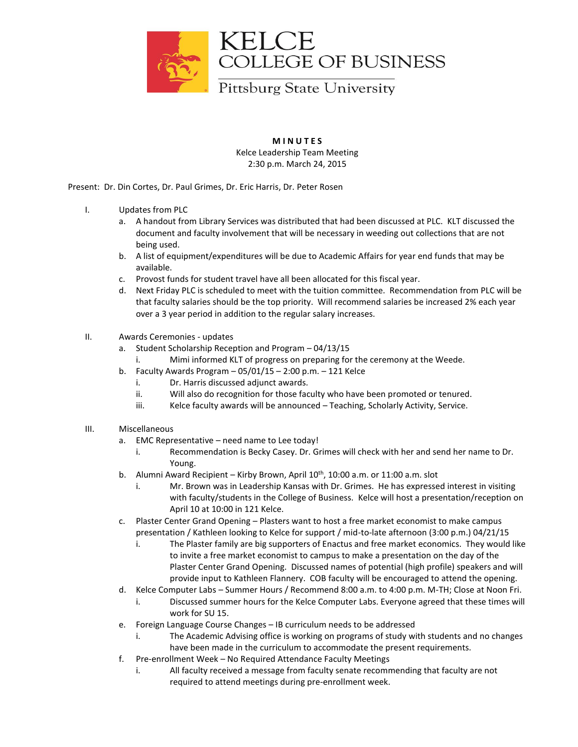

**M I N U T E S** Kelce Leadership Team Meeting 2:30 p.m. March 24, 2015

Present: Dr. Din Cortes, Dr. Paul Grimes, Dr. Eric Harris, Dr. Peter Rosen

- I. Updates from PLC
	- a. A handout from Library Services was distributed that had been discussed at PLC. KLT discussed the document and faculty involvement that will be necessary in weeding out collections that are not being used.
	- b. A list of equipment/expenditures will be due to Academic Affairs for year end funds that may be available.
	- c. Provost funds for student travel have all been allocated for this fiscal year.
	- d. Next Friday PLC is scheduled to meet with the tuition committee. Recommendation from PLC will be that faculty salaries should be the top priority. Will recommend salaries be increased 2% each year over a 3 year period in addition to the regular salary increases.

## II. Awards Ceremonies - updates

- a. Student Scholarship Reception and Program 04/13/15
	- i. Mimi informed KLT of progress on preparing for the ceremony at the Weede.
- b. Faculty Awards Program  $-05/01/15 2:00$  p.m.  $-121$  Kelce
	- i. Dr. Harris discussed adjunct awards.
	- ii. Will also do recognition for those faculty who have been promoted or tenured.
	- iii. Kelce faculty awards will be announced Teaching, Scholarly Activity, Service.
- III. Miscellaneous
	- a. EMC Representative need name to Lee today!
		- i. Recommendation is Becky Casey. Dr. Grimes will check with her and send her name to Dr. Young.
	- b. Alumni Award Recipient Kirby Brown, April  $10^{th}$ ,  $10:00$  a.m. or  $11:00$  a.m. slot
		- i. Mr. Brown was in Leadership Kansas with Dr. Grimes. He has expressed interest in visiting with faculty/students in the College of Business. Kelce will host a presentation/reception on April 10 at 10:00 in 121 Kelce.
	- c. Plaster Center Grand Opening Plasters want to host a free market economist to make campus presentation / Kathleen looking to Kelce for support / mid-to-late afternoon (3:00 p.m.) 04/21/15
		- i. The Plaster family are big supporters of Enactus and free market economics. They would like to invite a free market economist to campus to make a presentation on the day of the Plaster Center Grand Opening. Discussed names of potential (high profile) speakers and will provide input to Kathleen Flannery. COB faculty will be encouraged to attend the opening.
	- d. Kelce Computer Labs Summer Hours / Recommend 8:00 a.m. to 4:00 p.m. M-TH; Close at Noon Fri.
		- i. Discussed summer hours for the Kelce Computer Labs. Everyone agreed that these times will work for SU 15.
	- e. Foreign Language Course Changes IB curriculum needs to be addressed
		- i. The Academic Advising office is working on programs of study with students and no changes have been made in the curriculum to accommodate the present requirements.
	- f. Pre-enrollment Week No Required Attendance Faculty Meetings
		- i. All faculty received a message from faculty senate recommending that faculty are not required to attend meetings during pre-enrollment week.